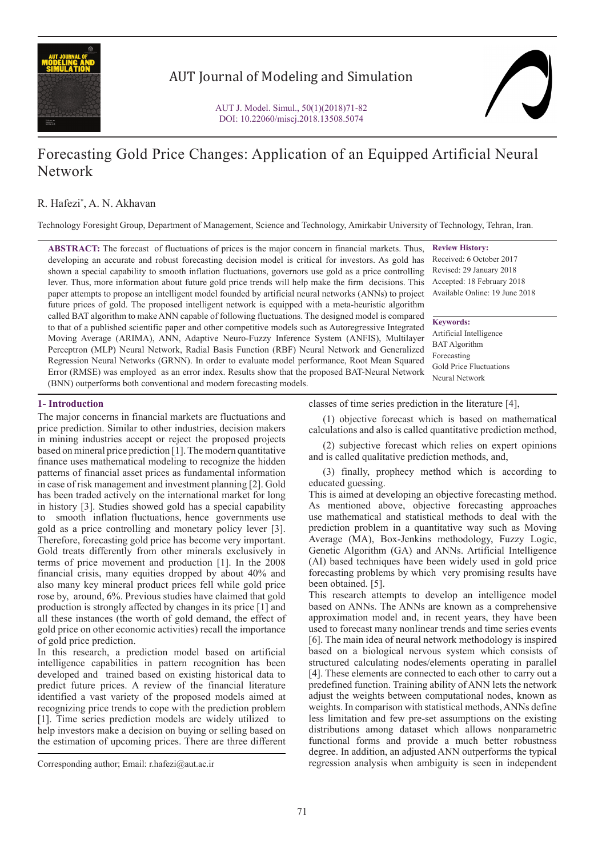

# AUT Journal of Modeling and Simulation



# Forecasting Gold Price Changes: Application of an Equipped Artificial Neural Network

# R. Hafezi\* , A. N. Akhavan

Technology Foresight Group, Department of Management, Science and Technology, Amirkabir University of Technology, Tehran, Iran.

**ABSTRACT:** The forecast of fluctuations of prices is the major concern in financial markets. Thus, developing an accurate and robust forecasting decision model is critical for investors. As gold has shown a special capability to smooth inflation fluctuations, governors use gold as a price controlling Revised: 29 January 2018 lever. Thus, more information about future gold price trends will help make the firm decisions. This Accepted: 18 February 2018 paper attempts to propose an intelligent model founded by artificial neural networks (ANNs) to project Available Online: 19 June 2018 future prices of gold. The proposed intelligent network is equipped with a meta-heuristic algorithm called BAT algorithm to make ANN capable of following fluctuations. The designed model is compared to that of a published scientific paper and other competitive models such as Autoregressive Integrated Moving Average (ARIMA), ANN, Adaptive Neuro-Fuzzy Inference System (ANFIS), Multilayer Perceptron (MLP) Neural Network, Radial Basis Function (RBF) Neural Network and Generalized Regression Neural Networks (GRNN). In order to evaluate model performance, Root Mean Squared Error (RMSE) was employed as an error index. Results show that the proposed BAT-Neural Network (BNN) outperforms both conventional and modern forecasting models.

**Review History:** Received: 6 October 2017

**Keywords:** Artificial Intelligence BAT Algorithm Forecasting Gold Price Fluctuations Neural Network

# **1- Introduction**

The major concerns in financial markets are fluctuations and price prediction. Similar to other industries, decision makers in mining industries accept or reject the proposed projects based on mineral price prediction [1]. The modern quantitative finance uses mathematical modeling to recognize the hidden patterns of financial asset prices as fundamental information in case of risk management and investment planning [2]. Gold has been traded actively on the international market for long in history [3]. Studies showed gold has a special capability to smooth inflation fluctuations, hence governments use gold as a price controlling and monetary policy lever [3]. Therefore, forecasting gold price has become very important. Gold treats differently from other minerals exclusively in terms of price movement and production [1]. In the 2008 financial crisis, many equities dropped by about 40% and also many key mineral product prices fell while gold price rose by, around, 6%. Previous studies have claimed that gold production is strongly affected by changes in its price [1] and all these instances (the worth of gold demand, the effect of gold price on other economic activities) recall the importance of gold price prediction.

In this research, a prediction model based on artificial intelligence capabilities in pattern recognition has been developed and trained based on existing historical data to predict future prices. A review of the financial literature identified a vast variety of the proposed models aimed at recognizing price trends to cope with the prediction problem [1]. Time series prediction models are widely utilized to help investors make a decision on buying or selling based on the estimation of upcoming prices. There are three different classes of time series prediction in the literature [4],

(1) objective forecast which is based on mathematical calculations and also is called quantitative prediction method,

(2) subjective forecast which relies on expert opinions and is called qualitative prediction methods, and,

(3) finally, prophecy method which is according to educated guessing.

This is aimed at developing an objective forecasting method. As mentioned above, objective forecasting approaches use mathematical and statistical methods to deal with the prediction problem in a quantitative way such as Moving Average (MA), Box-Jenkins methodology, Fuzzy Logic, Genetic Algorithm (GA) and ANNs. Artificial Intelligence (AI) based techniques have been widely used in gold price forecasting problems by which very promising results have been obtained. [5].

This research attempts to develop an intelligence model based on ANNs. The ANNs are known as a comprehensive approximation model and, in recent years, they have been used to forecast many nonlinear trends and time series events [6]. The main idea of neural network methodology is inspired based on a biological nervous system which consists of structured calculating nodes/elements operating in parallel [4]. These elements are connected to each other to carry out a predefined function. Training ability of ANN lets the network adjust the weights between computational nodes, known as weights. In comparison with statistical methods, ANNs define less limitation and few pre-set assumptions on the existing distributions among dataset which allows nonparametric functional forms and provide a much better robustness degree. In addition, an adjusted ANN outperforms the typical regression analysis when ambiguity is seen in independent

Corresponding author; Email: r.hafezi@aut.ac.ir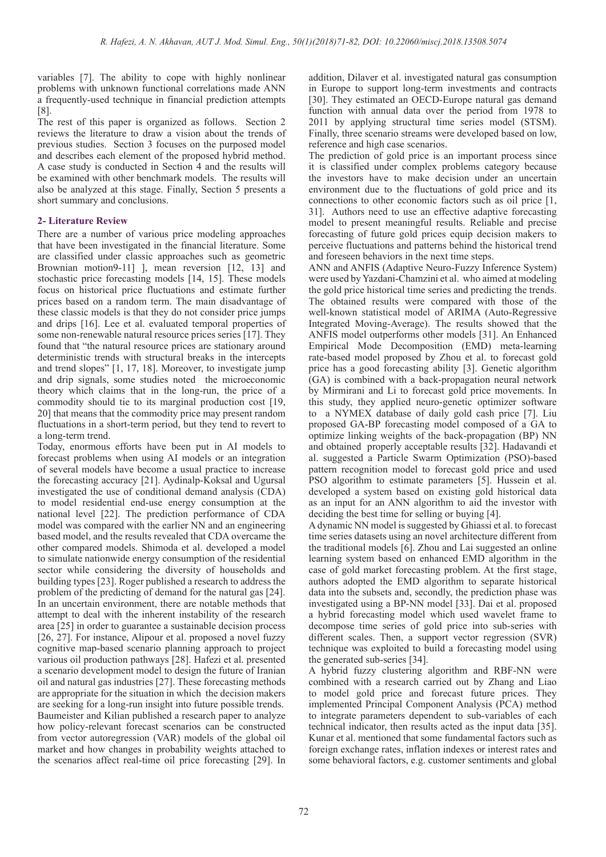variables [7]. The ability to cope with highly nonlinear problems with unknown functional correlations made ANN a frequently-used technique in financial prediction attempts [8].

The rest of this paper is organized as follows. Section 2 reviews the literature to draw a vision about the trends of previous studies. Section 3 focuses on the purposed model and describes each element of the proposed hybrid method. A case study is conducted in Section 4 and the results will be examined with other benchmark models. The results will also be analyzed at this stage. Finally, Section 5 presents a short summary and conclusions.

# **2- Literature Review**

There are a number of various price modeling approaches that have been investigated in the financial literature. Some are classified under classic approaches such as geometric Brownian motion9-11]  $\parallel$ , mean reversion [12, 13] and stochastic price forecasting models [14, 15]. These models focus on historical price fluctuations and estimate further prices based on a random term. The main disadvantage of these classic models is that they do not consider price jumps and drips [16]. Lee et al. evaluated temporal properties of some non-renewable natural resource prices series [17]. They found that "the natural resource prices are stationary around deterministic trends with structural breaks in the intercepts and trend slopes" [1, 17, 18]. Moreover, to investigate jump and drip signals, some studies noted the microeconomic theory which claims that in the long-run, the price of a commodity should tie to its marginal production cost [19, 20] that means that the commodity price may present random fluctuations in a short-term period, but they tend to revert to a long-term trend.

Today, enormous efforts have been put in AI models to forecast problems when using AI models or an integration of several models have become a usual practice to increase the forecasting accuracy [21]. Aydinalp-Koksal and Ugursal investigated the use of conditional demand analysis (CDA) to model residential end-use energy consumption at the national level [22]. The prediction performance of CDA model was compared with the earlier NN and an engineering based model, and the results revealed that CDA overcame the other compared models. Shimoda et al. developed a model to simulate nationwide energy consumption of the residential sector while considering the diversity of households and building types [23]. Roger published a research to address the problem of the predicting of demand for the natural gas [24]. In an uncertain environment, there are notable methods that attempt to deal with the inherent instability of the research area [25] in order to guarantee a sustainable decision process [26, 27]. For instance, Alipour et al. proposed a novel fuzzy cognitive map-based scenario planning approach to project various oil production pathways [28]. Hafezi et al. presented a scenario development model to design the future of Iranian oil and natural gas industries [27]. These forecasting methods are appropriate for the situation in which the decision makers are seeking for a long-run insight into future possible trends. Baumeister and Kilian published a research paper to analyze how policy-relevant forecast scenarios can be constructed from vector autoregression (VAR) models of the global oil market and how changes in probability weights attached to the scenarios affect real-time oil price forecasting [29]. In

addition, Dilaver et al. investigated natural gas consumption in Europe to support long-term investments and contracts [30]. They estimated an OECD-Europe natural gas demand function with annual data over the period from 1978 to 2011 by applying structural time series model (STSM). Finally, three scenario streams were developed based on low, reference and high case scenarios.

The prediction of gold price is an important process since it is classified under complex problems category because the investors have to make decision under an uncertain environment due to the fluctuations of gold price and its connections to other economic factors such as oil price [1, 31]. Authors need to use an effective adaptive forecasting model to present meaningful results. Reliable and precise forecasting of future gold prices equip decision makers to perceive fluctuations and patterns behind the historical trend and foreseen behaviors in the next time steps.

ANN and ANFIS (Adaptive Neuro-Fuzzy Inference System) were used by Yazdani-Chamzini et al. who aimed at modeling the gold price historical time series and predicting the trends. The obtained results were compared with those of the well-known statistical model of ARIMA (Auto-Regressive Integrated Moving-Average). The results showed that the ANFIS model outperforms other models [31]. An Enhanced Empirical Mode Decomposition (EMD) meta-learning rate-based model proposed by Zhou et al. to forecast gold price has a good forecasting ability [3]. Genetic algorithm (GA) is combined with a back-propagation neural network by Mirmirani and Li to forecast gold price movements. In this study, they applied neuro-genetic optimizer software to a NYMEX database of daily gold cash price [7]. Liu proposed GA-BP forecasting model composed of a GA to optimize linking weights of the back-propagation (BP) NN and obtained properly acceptable results [32]. Hadavandi et al. suggested a Particle Swarm Optimization (PSO)-based pattern recognition model to forecast gold price and used PSO algorithm to estimate parameters [5]. Hussein et al. developed a system based on existing gold historical data as an input for an ANN algorithm to aid the investor with deciding the best time for selling or buying [4].

A dynamic NN model is suggested by Ghiassi et al. to forecast time series datasets using an novel architecture different from the traditional models [6]. Zhou and Lai suggested an online learning system based on enhanced EMD algorithm in the case of gold market forecasting problem. At the first stage, authors adopted the EMD algorithm to separate historical data into the subsets and, secondly, the prediction phase was investigated using a BP-NN model [33]. Dai et al. proposed a hybrid forecasting model which used wavelet frame to decompose time series of gold price into sub-series with different scales. Then, a support vector regression (SVR) technique was exploited to build a forecasting model using the generated sub-series [34].

A hybrid fuzzy clustering algorithm and RBF-NN were combined with a research carried out by Zhang and Liao to model gold price and forecast future prices. They implemented Principal Component Analysis (PCA) method to integrate parameters dependent to sub-variables of each technical indicator, then results acted as the input data [35]. Kunar et al. mentioned that some fundamental factors such as foreign exchange rates, inflation indexes or interest rates and some behavioral factors, e.g. customer sentiments and global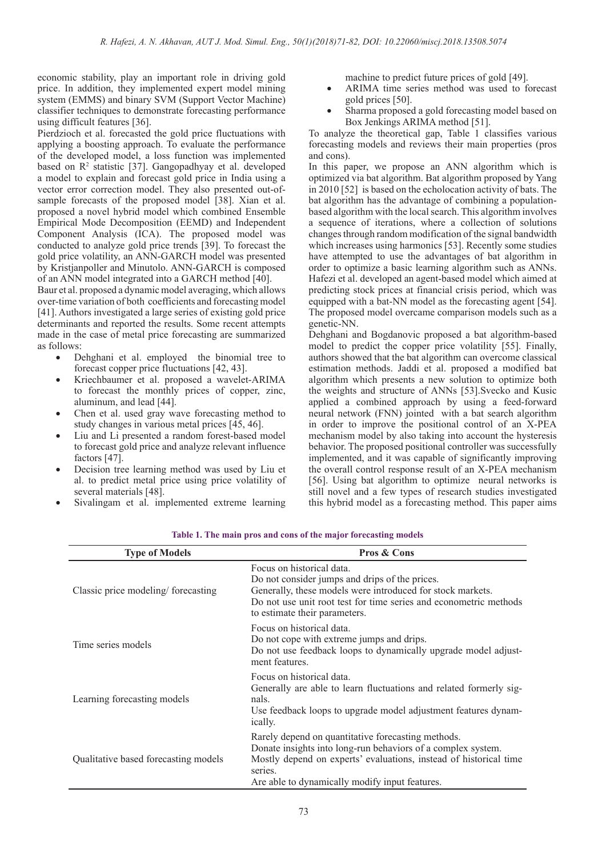economic stability, play an important role in driving gold price. In addition, they implemented expert model mining system (EMMS) and binary SVM (Support Vector Machine) classifier techniques to demonstrate forecasting performance using difficult features [36].

Pierdzioch et al. forecasted the gold price fluctuations with applying a boosting approach. To evaluate the performance of the developed model, a loss function was implemented based on R<sup>2</sup> statistic [37]. Gangopadhyay et al. developed a model to explain and forecast gold price in India using a vector error correction model. They also presented out-ofsample forecasts of the proposed model [38]. Xian et al. proposed a novel hybrid model which combined Ensemble Empirical Mode Decomposition (EEMD) and Independent Component Analysis (ICA). The proposed model was conducted to analyze gold price trends [39]. To forecast the gold price volatility, an ANN-GARCH model was presented by Kristjanpoller and Minutolo. ANN-GARCH is composed of an ANN model integrated into a GARCH method [40].

Baur et al. proposed a dynamic model averaging, which allows over-time variation of both coefficients and forecasting model [41]. Authors investigated a large series of existing gold price determinants and reported the results. Some recent attempts made in the case of metal price forecasting are summarized as follows:

- Dehghani et al. employed the binomial tree to forecast copper price fluctuations [42, 43].
- Kriechbaumer et al. proposed a wavelet-ARIMA to forecast the monthly prices of copper, zinc, aluminum, and lead [44].
- Chen et al. used gray wave forecasting method to study changes in various metal prices [45, 46].
- Liu and Li presented a random forest-based model to forecast gold price and analyze relevant influence factors [47].
- Decision tree learning method was used by Liu et al. to predict metal price using price volatility of several materials [48].
- Sivalingam et al. implemented extreme learning

machine to predict future prices of gold [49].

- ARIMA time series method was used to forecast gold prices [50].
- Sharma proposed a gold forecasting model based on Box Jenkings ARIMA method [51].

To analyze the theoretical gap, Table 1 classifies various forecasting models and reviews their main properties (pros and cons).

In this paper, we propose an ANN algorithm which is optimized via bat algorithm. Bat algorithm proposed by Yang in 2010 [52] is based on the echolocation activity of bats. The bat algorithm has the advantage of combining a populationbased algorithm with the local search. This algorithm involves a sequence of iterations, where a collection of solutions changes through random modification of the signal bandwidth which increases using harmonics [53]. Recently some studies have attempted to use the advantages of bat algorithm in order to optimize a basic learning algorithm such as ANNs. Hafezi et al. developed an agent-based model which aimed at predicting stock prices at financial crisis period, which was equipped with a bat-NN model as the forecasting agent [54]. The proposed model overcame comparison models such as a genetic-NN.

Dehghani and Bogdanovic proposed a bat algorithm-based model to predict the copper price volatility [55]. Finally, authors showed that the bat algorithm can overcome classical estimation methods. Jaddi et al. proposed a modified bat algorithm which presents a new solution to optimize both the weights and structure of ANNs [53].Svecko and Kusic applied a combined approach by using a feed-forward neural network (FNN) jointed with a bat search algorithm in order to improve the positional control of an X-PEA mechanism model by also taking into account the hysteresis behavior. The proposed positional controller was successfully implemented, and it was capable of significantly improving the overall control response result of an X-PEA mechanism [56]. Using bat algorithm to optimize neural networks is still novel and a few types of research studies investigated this hybrid model as a forecasting method. This paper aims

| <b>Type of Models</b>                | <b>Pros &amp; Cons</b>                                                                                                                                                                                                                               |  |  |  |
|--------------------------------------|------------------------------------------------------------------------------------------------------------------------------------------------------------------------------------------------------------------------------------------------------|--|--|--|
| Classic price modeling/forecasting   | Focus on historical data.<br>Do not consider jumps and drips of the prices.<br>Generally, these models were introduced for stock markets.<br>Do not use unit root test for time series and econometric methods<br>to estimate their parameters.      |  |  |  |
| Time series models                   | Focus on historical data.<br>Do not cope with extreme jumps and drips.<br>Do not use feedback loops to dynamically upgrade model adjust-<br>ment features.                                                                                           |  |  |  |
| Learning forecasting models          | Focus on historical data.<br>Generally are able to learn fluctuations and related formerly sig-<br>nals.<br>Use feedback loops to upgrade model adjustment features dynam-<br><i>ically.</i>                                                         |  |  |  |
| Qualitative based forecasting models | Rarely depend on quantitative forecasting methods.<br>Donate insights into long-run behaviors of a complex system.<br>Mostly depend on experts' evaluations, instead of historical time<br>series.<br>Are able to dynamically modify input features. |  |  |  |

**Table 1. The main pros and cons of the major forecasting models**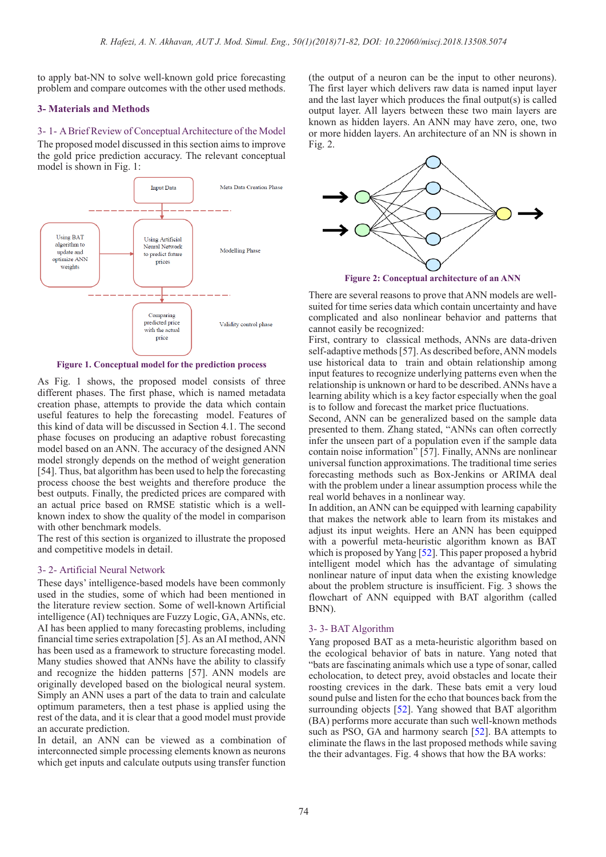to apply bat-NN to solve well-known gold price forecasting problem and compare outcomes with the other used methods.

# **3- Materials and Methods**

## 3- 1- A Brief Review of Conceptual Architecture of the Model

The proposed model discussed in this section aims to improve the gold price prediction accuracy. The relevant conceptual model is shown in Fig. 1:



**Figure 1. Conceptual model for the prediction process**

As Fig. 1 shows, the proposed model consists of three different phases. The first phase, which is named metadata creation phase, attempts to provide the data which contain useful features to help the forecasting model. Features of this kind of data will be discussed in Section 4.1. The second phase focuses on producing an adaptive robust forecasting model based on an ANN. The accuracy of the designed ANN model strongly depends on the method of weight generation [54]. Thus, bat algorithm has been used to help the forecasting process choose the best weights and therefore produce the best outputs. Finally, the predicted prices are compared with an actual price based on RMSE statistic which is a wellknown index to show the quality of the model in comparison with other benchmark models.

The rest of this section is organized to illustrate the proposed and competitive models in detail.

## 3- 2- Artificial Neural Network

These days' intelligence-based models have been commonly used in the studies, some of which had been mentioned in the literature review section. Some of well-known Artificial intelligence (AI) techniques are Fuzzy Logic, GA, ANNs, etc. AI has been applied to many forecasting problems, including financial time series extrapolation [5]. As an AI method, ANN has been used as a framework to structure forecasting model. Many studies showed that ANNs have the ability to classify and recognize the hidden patterns [57]. ANN models are originally developed based on the biological neural system. Simply an ANN uses a part of the data to train and calculate optimum parameters, then a test phase is applied using the rest of the data, and it is clear that a good model must provide an accurate prediction.

In detail, an ANN can be viewed as a combination of interconnected simple processing elements known as neurons which get inputs and calculate outputs using transfer function (the output of a neuron can be the input to other neurons). The first layer which delivers raw data is named input layer and the last layer which produces the final output(s) is called output layer. All layers between these two main layers are known as hidden layers. An ANN may have zero, one, two or more hidden layers. An architecture of an NN is shown in Fig. 2.



**Figure 2: Conceptual architecture of an ANN**

There are several reasons to prove that ANN models are wellsuited for time series data which contain uncertainty and have complicated and also nonlinear behavior and patterns that cannot easily be recognized:

First, contrary to classical methods, ANNs are data-driven self-adaptive methods [57]. As described before, ANN models use historical data to train and obtain relationship among input features to recognize underlying patterns even when the relationship is unknown or hard to be described. ANNs have a learning ability which is a key factor especially when the goal is to follow and forecast the market price fluctuations.

Second, ANN can be generalized based on the sample data presented to them. Zhang stated, "ANNs can often correctly infer the unseen part of a population even if the sample data contain noise information" [57]. Finally, ANNs are nonlinear universal function approximations. The traditional time series forecasting methods such as Box-Jenkins or ARIMA deal with the problem under a linear assumption process while the real world behaves in a nonlinear way.

In addition, an ANN can be equipped with learning capability that makes the network able to learn from its mistakes and adjust its input weights. Here an ANN has been equipped with a powerful meta-heuristic algorithm known as BAT which is proposed by Yang [52]. This paper proposed a hybrid intelligent model which has the advantage of simulating nonlinear nature of input data when the existing knowledge about the problem structure is insufficient. Fig. 3 shows the flowchart of ANN equipped with BAT algorithm (called BNN).

# 3- 3- BAT Algorithm

Yang proposed BAT as a meta-heuristic algorithm based on the ecological behavior of bats in nature. Yang noted that "bats are fascinating animals which use a type of sonar, called echolocation, to detect prey, avoid obstacles and locate their roosting crevices in the dark. These bats emit a very loud sound pulse and listen for the echo that bounces back from the surrounding objects [52]. Yang showed that BAT algorithm (BA) performs more accurate than such well-known methods such as PSO, GA and harmony search [52]. BA attempts to eliminate the flaws in the last proposed methods while saving the their advantages. Fig. 4 shows that how the BA works: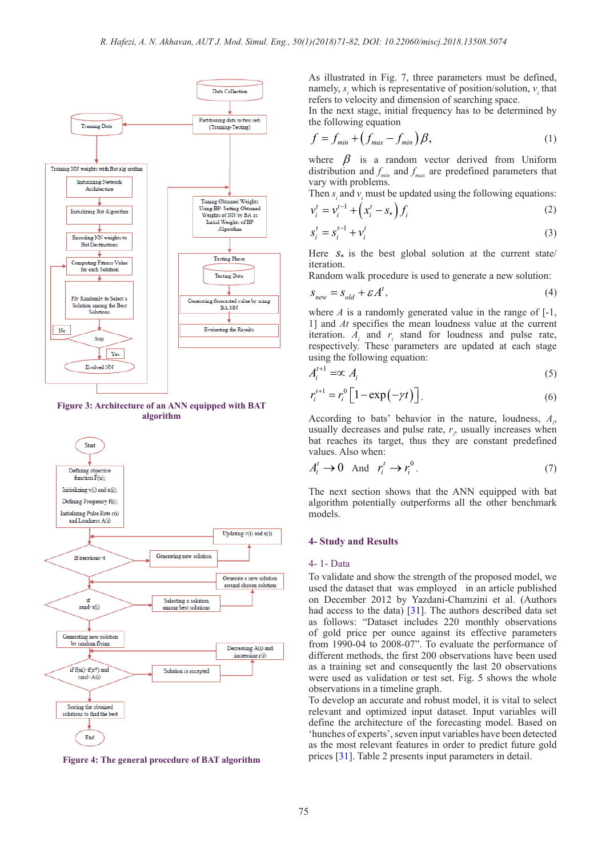

**Figure 3: Architecture of an ANN equipped with BAT algorithm**



**Figure 4: The general procedure of BAT algorithm**

As illustrated in Fig. 7, three parameters must be defined, namely,  $s_i$  which is representative of position/solution,  $v_i$  that refers to velocity and dimension of searching space.

In the next stage, initial frequency has to be determined by the following equation

$$
f = f_{min} + \left(f_{max} - f_{min}\right)\beta,\tag{1}
$$

where  $\beta$  is a random vector derived from Uniform distribution and  $f_{\text{min}}$  and  $f_{\text{max}}$  are predefined parameters that vary with problems.

Then  $s_i$  and  $v_i$  must be updated using the following equations:

$$
v_i^t = v_i^{t-1} + \left(x_i^t - s_*\right) f_i \tag{2}
$$

$$
s_i^t = s_i^{t-1} + \nu_i^t \tag{3}
$$

Here  $S_{\ast}$  is the best global solution at the current state/ iteration.

Random walk procedure is used to generate a new solution:

$$
S_{new} = S_{old} + \mathcal{E}A^{t},\tag{4}
$$

where  $A$  is a randomly generated value in the range of  $[-1, 1]$ 1] and *At* specifies the mean loudness value at the current iteration.  $A_i$  and  $r_i$  stand for loudness and pulse rate, respectively. These parameters are updated at each stage using the following equation:

$$
A_i^{t+1} = \infty A_i \tag{5}
$$

$$
r_i^{t+1} = r_i^0 \left[ 1 - \exp\left(-\gamma t\right) \right]. \tag{6}
$$

According to bats' behavior in the nature, loudness, *Ai* , usually decreases and pulse rate,  $r_i$ , usually increases when bat reaches its target, thus they are constant predefined values. Also when:

$$
A_i^t \to 0 \quad \text{And} \quad r_i^t \to r_i^0 \,. \tag{7}
$$

The next section shows that the ANN equipped with bat algorithm potentially outperforms all the other benchmark models.

## **4- Study and Results**

# 4- 1- Data

To validate and show the strength of the proposed model, we used the dataset that was employed in an article published on December 2012 by Yazdani-Chamzini et al. (Authors had access to the data) [31]. The authors described data set as follows: "Dataset includes 220 monthly observations of gold price per ounce against its effective parameters from 1990-04 to 2008-07". To evaluate the performance of different methods, the first 200 observations have been used as a training set and consequently the last 20 observations were used as validation or test set. Fig. 5 shows the whole observations in a timeline graph.

To develop an accurate and robust model, it is vital to select relevant and optimized input dataset. Input variables will define the architecture of the forecasting model. Based on 'hunches of experts', seven input variables have been detected as the most relevant features in order to predict future gold prices [31]. Table 2 presents input parameters in detail.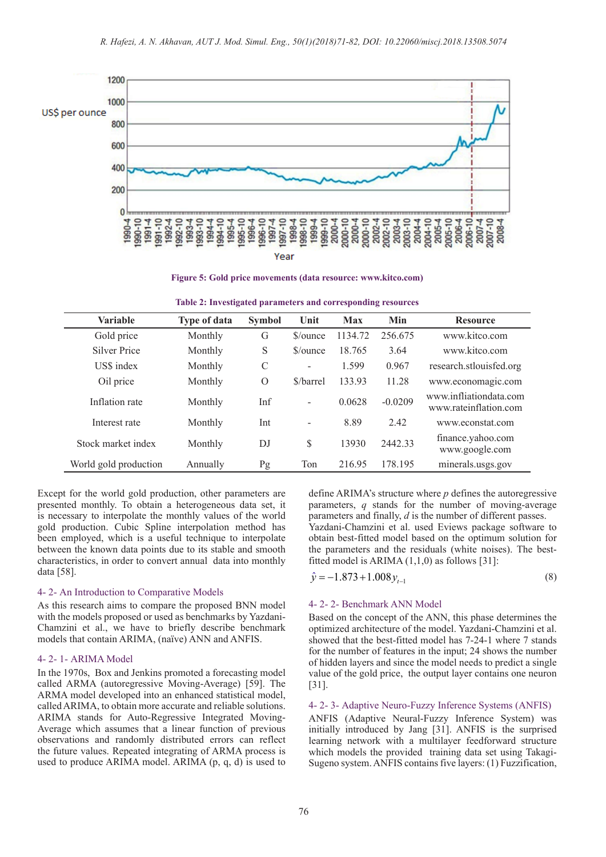

**Figure 5: Gold price movements (data resource: www.kitco.com)**

| Variable              | <b>Type of data</b> | <b>Symbol</b> | Unit                     | <b>Max</b> | Min       | <b>Resource</b>                                 |
|-----------------------|---------------------|---------------|--------------------------|------------|-----------|-------------------------------------------------|
| Gold price            | Monthly             | G             | $\gamma$ ounce           | 1134.72    | 256.675   | www.kitco.com                                   |
| Silver Price          | Monthly             | S             | $\gamma$ ounce           | 18.765     | 3.64      | www.kitco.com                                   |
| US\$ index            | Monthly             | $\mathcal{C}$ | $\overline{\phantom{a}}$ | 1.599      | 0.967     | research.stlouisfed.org                         |
| Oil price             | Monthly             | $\Omega$      | \$/barrel                | 133.93     | 11.28     | www.economagic.com                              |
| Inflation rate        | Monthly             | Inf           | ÷                        | 0.0628     | $-0.0209$ | www.infliationdata.com<br>www.rateinflation.com |
| Interest rate         | Monthly             | Int           | $\overline{\phantom{a}}$ | 8.89       | 2.42      | www.econstat.com                                |
| Stock market index    | Monthly             | DJ            | \$                       | 13930      | 2442.33   | finance.yahoo.com<br>www.google.com             |
| World gold production | Annually            | Pg            | Ton                      | 216.95     | 178.195   | minerals.usgs.gov                               |

| Table 2: Investigated parameters and corresponding resources |  |  |
|--------------------------------------------------------------|--|--|
|                                                              |  |  |

Except for the world gold production, other parameters are presented monthly. To obtain a heterogeneous data set, it is necessary to interpolate the monthly values of the world gold production. Cubic Spline interpolation method has been employed, which is a useful technique to interpolate between the known data points due to its stable and smooth characteristics, in order to convert annual data into monthly data [58].

#### 4- 2- An Introduction to Comparative Models

As this research aims to compare the proposed BNN model with the models proposed or used as benchmarks by Yazdani-Chamzini et al., we have to briefly describe benchmark models that contain ARIMA, (naïve) ANN and ANFIS.

#### 4- 2- 1- ARIMA Model

In the 1970s, Box and Jenkins promoted a forecasting model called ARMA (autoregressive Moving-Average) [59]. The ARMA model developed into an enhanced statistical model, called ARIMA, to obtain more accurate and reliable solutions. ARIMA stands for Auto-Regressive Integrated Moving-Average which assumes that a linear function of previous observations and randomly distributed errors can reflect the future values. Repeated integrating of ARMA process is used to produce ARIMA model. ARIMA (p, q, d) is used to

define ARIMA's structure where *p* defines the autoregressive parameters, *q* stands for the number of moving-average parameters and finally, *d* is the number of different passes. Yazdani-Chamzini et al. used Eviews package software to obtain best-fitted model based on the optimum solution for the parameters and the residuals (white noises). The bestfitted model is ARIMA  $(1,1,0)$  as follows [31]:

$$
\hat{y} = -1.873 + 1.008 y_{t-1} \tag{8}
$$

## 4- 2- 2- Benchmark ANN Model

Based on the concept of the ANN, this phase determines the optimized architecture of the model. Yazdani-Chamzini et al. showed that the best-fitted model has 7-24-1 where 7 stands for the number of features in the input; 24 shows the number of hidden layers and since the model needs to predict a single value of the gold price, the output layer contains one neuron [31].

#### 4- 2- 3- Adaptive Neuro-Fuzzy Inference Systems (ANFIS)

ANFIS (Adaptive Neural-Fuzzy Inference System) was initially introduced by Jang [31]. ANFIS is the surprised learning network with a multilayer feedforward structure which models the provided training data set using Takagi-Sugeno system. ANFIS contains five layers: (1) Fuzzification,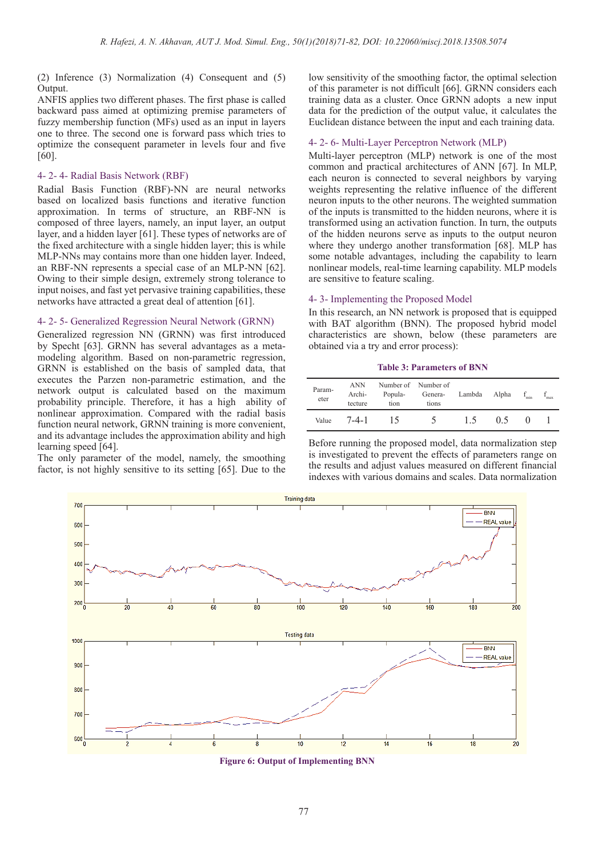(2) Inference (3) Normalization (4) Consequent and (5) Output.

ANFIS applies two different phases. The first phase is called backward pass aimed at optimizing premise parameters of fuzzy membership function (MFs) used as an input in layers one to three. The second one is forward pass which tries to optimize the consequent parameter in levels four and five [60].

# 4- 2- 4- Radial Basis Network (RBF)

Radial Basis Function (RBF)-NN are neural networks based on localized basis functions and iterative function approximation. In terms of structure, an RBF-NN is composed of three layers, namely, an input layer, an output layer, and a hidden layer [61]. These types of networks are of the fixed architecture with a single hidden layer; this is while MLP-NNs may contains more than one hidden layer. Indeed, an RBF-NN represents a special case of an MLP-NN [62]. Owing to their simple design, extremely strong tolerance to input noises, and fast yet pervasive training capabilities, these networks have attracted a great deal of attention [61].

### 4- 2- 5- Generalized Regression Neural Network (GRNN)

Generalized regression NN (GRNN) was first introduced by Specht [63]. GRNN has several advantages as a metamodeling algorithm. Based on non-parametric regression, GRNN is established on the basis of sampled data, that executes the Parzen non-parametric estimation, and the network output is calculated based on the maximum probability principle. Therefore, it has a high ability of nonlinear approximation. Compared with the radial basis function neural network, GRNN training is more convenient, and its advantage includes the approximation ability and high learning speed [64].

The only parameter of the model, namely, the smoothing factor, is not highly sensitive to its setting [65]. Due to the low sensitivity of the smoothing factor, the optimal selection of this parameter is not difficult [66]. GRNN considers each training data as a cluster. Once GRNN adopts a new input data for the prediction of the output value, it calculates the Euclidean distance between the input and each training data.

#### 4- 2- 6- Multi-Layer Perceptron Network (MLP)

Multi-layer perceptron (MLP) network is one of the most common and practical architectures of ANN [67]. In MLP, each neuron is connected to several neighbors by varying weights representing the relative influence of the different neuron inputs to the other neurons. The weighted summation of the inputs is transmitted to the hidden neurons, where it is transformed using an activation function. In turn, the outputs of the hidden neurons serve as inputs to the output neuron where they undergo another transformation [68]. MLP has some notable advantages, including the capability to learn nonlinear models, real-time learning capability. MLP models are sensitive to feature scaling.

## 4- 3- Implementing the Proposed Model

In this research, an NN network is proposed that is equipped with BAT algorithm (BNN). The proposed hybrid model characteristics are shown, below (these parameters are obtained via a try and error process):

#### **Table 3: Parameters of BNN**

| Param-<br>eter | <b>ANN</b><br>Archi-<br>tecture | Popula-<br>tion | Number of Number of<br>Genera-<br>tions | Lambda | Alpha | min | max |
|----------------|---------------------------------|-----------------|-----------------------------------------|--------|-------|-----|-----|
| Value          | $7 - 4 - 1$                     | 15              | $\Delta$                                | 1.5    | 05    |     |     |

Before running the proposed model, data normalization step is investigated to prevent the effects of parameters range on the results and adjust values measured on different financial indexes with various domains and scales. Data normalization



**Figure 6: Output of Implementing BNN**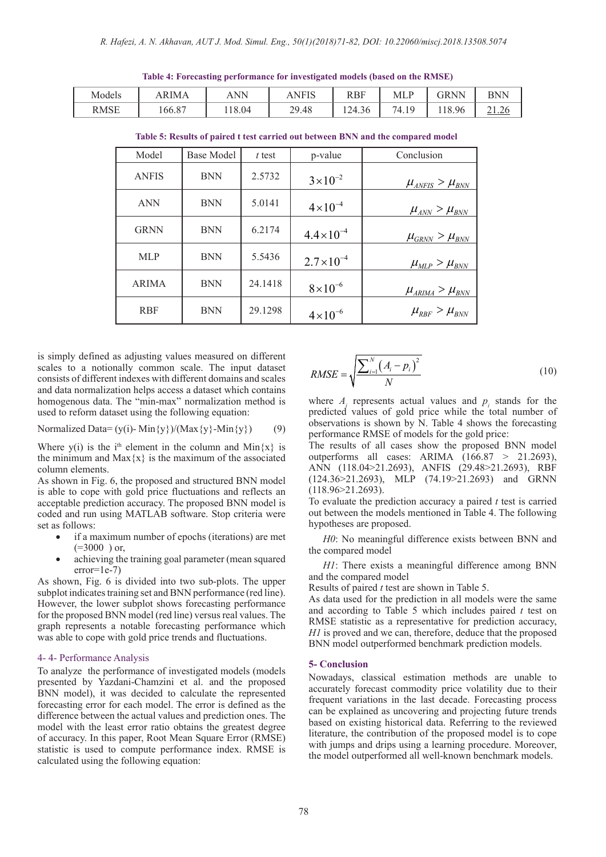**Table 4: Forecasting performance for investigated models (based on the RMSE)** Models | ARIMA | ANN | ANFIS | RBF | MLP | GRNN | BNN

| Model        | <b>Base Model</b> | $t$ test | p-value              | Conclusion                                                           |
|--------------|-------------------|----------|----------------------|----------------------------------------------------------------------|
| <b>ANFIS</b> | <b>BNN</b>        | 2.5732   | $3 \times 10^{-2}$   | $\mu_{\text{ANFIS}} > \mu_{\text{BNN}}$                              |
| <b>ANN</b>   | <b>BNN</b>        | 5.0141   | $4 \times 10^{-4}$   | $\mu_{ANN} > \mu_{BNN}$                                              |
| <b>GRNN</b>  | <b>BNN</b>        | 6.2174   | $4.4 \times 10^{-4}$ | $\mu_{\scriptscriptstyle GRNN}^{} > \mu_{\scriptscriptstyle BNN}^{}$ |
| <b>MLP</b>   | <b>BNN</b>        | 5.5436   | $2.7 \times 10^{-4}$ | $\mu_{MLP} > \mu_{BNN}$                                              |
| <b>ARIMA</b> | <b>BNN</b>        | 24.1418  | $8\times10^{-6}$     | $\mu_{ARIMA} > \mu_{BNN}$                                            |
| <b>RBF</b>   | <b>BNN</b>        | 29.1298  | $4 \times 10^{-6}$   | $\mu_{RBF} > \mu_{BNN}$                                              |

**Table 5: Results of paired t test carried out between BNN and the compared model**

RMSE | 166.87 | 118.04 | 29.48 | 124.36 | 74.19 | 118.96 | 21.26

is simply defined as adjusting values measured on different scales to a notionally common scale. The input dataset consists of different indexes with different domains and scales and data normalization helps access a dataset which contains homogenous data. The "min-max" normalization method is used to reform dataset using the following equation:

$$
Normalized Data = (y(i) - Min{y})/(Max{y} - Min{y})
$$
 (9)

Where y(i) is the i<sup>th</sup> element in the column and Min $\{x\}$  is the minimum and  $Max{x}$  is the maximum of the associated column elements.

As shown in Fig. 6, the proposed and structured BNN model is able to cope with gold price fluctuations and reflects an acceptable prediction accuracy. The proposed BNN model is coded and run using MATLAB software. Stop criteria were set as follows:

- if a maximum number of epochs (iterations) are met  $( = 3000)$  or,
- achieving the training goal parameter (mean squared error=1e-7)

As shown, Fig. 6 is divided into two sub-plots. The upper subplot indicates training set and BNN performance (red line). However, the lower subplot shows forecasting performance for the proposed BNN model (red line) versus real values. The graph represents a notable forecasting performance which was able to cope with gold price trends and fluctuations.

## 4- 4- Performance Analysis

To analyze the performance of investigated models (models presented by Yazdani-Chamzini et al. and the proposed BNN model), it was decided to calculate the represented forecasting error for each model. The error is defined as the difference between the actual values and prediction ones. The model with the least error ratio obtains the greatest degree of accuracy. In this paper, Root Mean Square Error (RMSE) statistic is used to compute performance index. RMSE is calculated using the following equation:

$$
RMSE = \sqrt{\frac{\sum_{i=1}^{N} (A_i - p_i)^2}{N}}
$$
(10)

where  $A_i$  represents actual values and  $p_i$  stands for the predicted values of gold price while the total number of observations is shown by N. Table 4 shows the forecasting performance RMSE of models for the gold price:

The results of all cases show the proposed BNN model outperforms all cases: ARIMA (166.87 > 21.2693), ANN (118.04>21.2693), ANFIS (29.48>21.2693), RBF  $(124.36 > 21.2693)$ , MLP  $(74.19 > 21.2693)$  and GRNN (118.96>21.2693).

To evaluate the prediction accuracy a paired *t* test is carried out between the models mentioned in Table 4. The following hypotheses are proposed.

*H0*: No meaningful difference exists between BNN and the compared model

*H1*: There exists a meaningful difference among BNN and the compared model

Results of paired *t* test are shown in Table 5.

As data used for the prediction in all models were the same and according to Table 5 which includes paired *t* test on RMSE statistic as a representative for prediction accuracy, *H1* is proved and we can, therefore, deduce that the proposed BNN model outperformed benchmark prediction models.

#### **5- Conclusion**

Nowadays, classical estimation methods are unable to accurately forecast commodity price volatility due to their frequent variations in the last decade. Forecasting process can be explained as uncovering and projecting future trends based on existing historical data. Referring to the reviewed literature, the contribution of the proposed model is to cope with jumps and drips using a learning procedure. Moreover, the model outperformed all well-known benchmark models.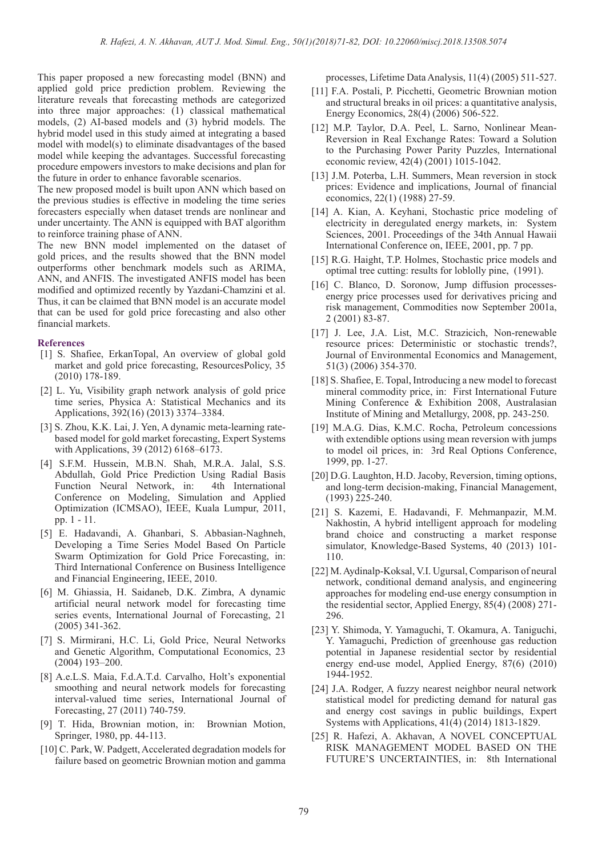This paper proposed a new forecasting model (BNN) and applied gold price prediction problem. Reviewing the literature reveals that forecasting methods are categorized into three major approaches: (1) classical mathematical models, (2) AI-based models and (3) hybrid models. The hybrid model used in this study aimed at integrating a based model with model(s) to eliminate disadvantages of the based model while keeping the advantages. Successful forecasting procedure empowers investors to make decisions and plan for the future in order to enhance favorable scenarios.

The new proposed model is built upon ANN which based on the previous studies is effective in modeling the time series forecasters especially when dataset trends are nonlinear and under uncertainty. The ANN is equipped with BAT algorithm to reinforce training phase of ANN.

The new BNN model implemented on the dataset of gold prices, and the results showed that the BNN model outperforms other benchmark models such as ARIMA, ANN, and ANFIS. The investigated ANFIS model has been modified and optimized recently by Yazdani-Chamzini et al. Thus, it can be claimed that BNN model is an accurate model that can be used for gold price forecasting and also other financial markets.

### **References**

- [1] S. Shafiee, ErkanTopal, An overview of global gold market and gold price forecasting, ResourcesPolicy, 35 (2010) 178-189.
- [2] L. Yu, Visibility graph network analysis of gold price time series, Physica A: Statistical Mechanics and its Applications, 392(16) (2013) 3374–3384.
- [3] S. Zhou, K.K. Lai, J. Yen, A dynamic meta-learning ratebased model for gold market forecasting, Expert Systems with Applications, 39 (2012) 6168–6173.
- [4] S.F.M. Hussein, M.B.N. Shah, M.R.A. Jalal, S.S. Abdullah, Gold Price Prediction Using Radial Basis Function Neural Network, in: 4th International Conference on Modeling, Simulation and Applied Optimization (ICMSAO), IEEE, Kuala Lumpur, 2011, pp. 1 - 11.
- [5] E. Hadavandi, A. Ghanbari, S. Abbasian-Naghneh, Developing a Time Series Model Based On Particle Swarm Optimization for Gold Price Forecasting, in: Third International Conference on Business Intelligence and Financial Engineering, IEEE, 2010.
- [6] M. Ghiassia, H. Saidaneb, D.K. Zimbra, A dynamic artificial neural network model for forecasting time series events, International Journal of Forecasting, 21 (2005) 341-362.
- [7] S. Mirmirani, H.C. Li, Gold Price, Neural Networks and Genetic Algorithm, Computational Economics, 23 (2004) 193–200.
- [8] A.e.L.S. Maia, F.d.A.T.d. Carvalho, Holt's exponential smoothing and neural network models for forecasting interval-valued time series, International Journal of Forecasting, 27 (2011) 740-759.
- [9] T. Hida, Brownian motion, in: Brownian Motion, Springer, 1980, pp. 44-113.
- [10] C. Park, W. Padgett, Accelerated degradation models for failure based on geometric Brownian motion and gamma

processes, Lifetime Data Analysis, 11(4) (2005) 511-527.

- [11] F.A. Postali, P. Picchetti, Geometric Brownian motion and structural breaks in oil prices: a quantitative analysis, Energy Economics, 28(4) (2006) 506-522.
- [12] M.P. Taylor, D.A. Peel, L. Sarno, Nonlinear Mean-Reversion in Real Exchange Rates: Toward a Solution to the Purchasing Power Parity Puzzles, International economic review, 42(4) (2001) 1015-1042.
- [13] J.M. Poterba, L.H. Summers, Mean reversion in stock prices: Evidence and implications, Journal of financial economics, 22(1) (1988) 27-59.
- [14] A. Kian, A. Keyhani, Stochastic price modeling of electricity in deregulated energy markets, in: System Sciences, 2001. Proceedings of the 34th Annual Hawaii International Conference on, IEEE, 2001, pp. 7 pp.
- [15] R.G. Haight, T.P. Holmes, Stochastic price models and optimal tree cutting: results for loblolly pine, (1991).
- [16] C. Blanco, D. Soronow, Jump diffusion processesenergy price processes used for derivatives pricing and risk management, Commodities now September 2001a, 2 (2001) 83-87.
- [17] J. Lee, J.A. List, M.C. Strazicich, Non-renewable resource prices: Deterministic or stochastic trends?, Journal of Environmental Economics and Management, 51(3) (2006) 354-370.
- [18] S. Shafiee, E. Topal, Introducing a new model to forecast mineral commodity price, in: First International Future Mining Conference & Exhibition 2008, Australasian Institute of Mining and Metallurgy, 2008, pp. 243-250.
- [19] M.A.G. Dias, K.M.C. Rocha, Petroleum concessions with extendible options using mean reversion with jumps to model oil prices, in: 3rd Real Options Conference, 1999, pp. 1-27.
- [20] D.G. Laughton, H.D. Jacoby, Reversion, timing options, and long-term decision-making, Financial Management, (1993) 225-240.
- [21] S. Kazemi, E. Hadavandi, F. Mehmanpazir, M.M. Nakhostin, A hybrid intelligent approach for modeling brand choice and constructing a market response simulator, Knowledge-Based Systems, 40 (2013) 101- 110.
- [22] M. Aydinalp-Koksal, V.I. Ugursal, Comparison of neural network, conditional demand analysis, and engineering approaches for modeling end-use energy consumption in the residential sector, Applied Energy, 85(4) (2008) 271- 296.
- [23] Y. Shimoda, Y. Yamaguchi, T. Okamura, A. Taniguchi, Y. Yamaguchi, Prediction of greenhouse gas reduction potential in Japanese residential sector by residential energy end-use model, Applied Energy, 87(6) (2010) 1944-1952.
- [24] J.A. Rodger, A fuzzy nearest neighbor neural network statistical model for predicting demand for natural gas and energy cost savings in public buildings, Expert Systems with Applications, 41(4) (2014) 1813-1829.
- [25] R. Hafezi, A. Akhavan, A NOVEL CONCEPTUAL RISK MANAGEMENT MODEL BASED ON THE FUTURE'S UNCERTAINTIES, in: 8th International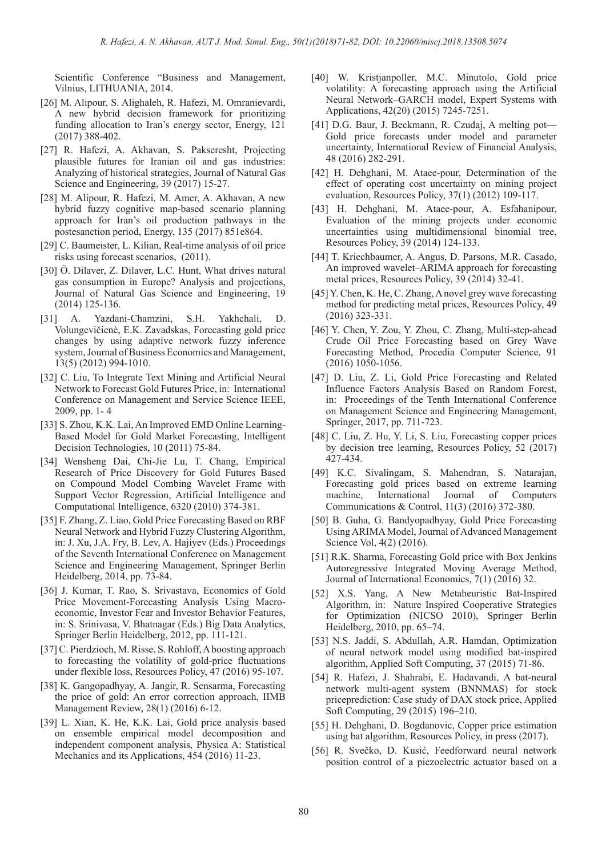Scientific Conference "Business and Management, Vilnius, LITHUANIA, 2014.

- [26] M. Alipour, S. Alighaleh, R. Hafezi, M. Omranievardi, A new hybrid decision framework for prioritizing funding allocation to Iran's energy sector, Energy, 121 (2017) 388-402.
- [27] R. Hafezi, A. Akhavan, S. Pakseresht, Projecting plausible futures for Iranian oil and gas industries: Analyzing of historical strategies, Journal of Natural Gas Science and Engineering, 39 (2017) 15-27.
- [28] M. Alipour, R. Hafezi, M. Amer, A. Akhavan, A new hybrid fuzzy cognitive map-based scenario planning approach for Iran's oil production pathways in the postesanction period, Energy, 135 (2017) 851e864.
- [29] C. Baumeister, L. Kilian, Real-time analysis of oil price risks using forecast scenarios, (2011).
- [30] Ö. Dilaver, Z. Dilaver, L.C. Hunt, What drives natural gas consumption in Europe? Analysis and projections, Journal of Natural Gas Science and Engineering, 19 (2014) 125-136.
- [31] A. Yazdani-Chamzini, S.H. Yakhchali, D. Volungevičienė, E.K. Zavadskas, Forecasting gold price changes by using adaptive network fuzzy inference system, Journal of Business Economics and Management, 13(5) (2012) 994-1010.
- [32] C. Liu, To Integrate Text Mining and Artificial Neural Network to Forecast Gold Futures Price, in: International Conference on Management and Service Science IEEE, 2009, pp. 1- 4
- [33] S. Zhou, K.K. Lai, An Improved EMD Online Learning-Based Model for Gold Market Forecasting, Intelligent Decision Technologies, 10 (2011) 75-84.
- [34] Wensheng Dai, Chi-Jie Lu, T. Chang, Empirical Research of Price Discovery for Gold Futures Based on Compound Model Combing Wavelet Frame with Support Vector Regression, Artificial Intelligence and Computational Intelligence, 6320 (2010) 374-381.
- [35] F. Zhang, Z. Liao, Gold Price Forecasting Based on RBF Neural Network and Hybrid Fuzzy Clustering Algorithm, in: J. Xu, J.A. Fry, B. Lev, A. Hajiyev (Eds.) Proceedings of the Seventh International Conference on Management Science and Engineering Management, Springer Berlin Heidelberg, 2014, pp. 73-84.
- [36] J. Kumar, T. Rao, S. Srivastava, Economics of Gold Price Movement-Forecasting Analysis Using Macroeconomic, Investor Fear and Investor Behavior Features, in: S. Srinivasa, V. Bhatnagar (Eds.) Big Data Analytics, Springer Berlin Heidelberg, 2012, pp. 111-121.
- [37] C. Pierdzioch, M. Risse, S. Rohloff, A boosting approach to forecasting the volatility of gold-price fluctuations under flexible loss, Resources Policy, 47 (2016) 95-107.
- [38] K. Gangopadhyay, A. Jangir, R. Sensarma, Forecasting the price of gold: An error correction approach, IIMB Management Review, 28(1) (2016) 6-12.
- [39] L. Xian, K. He, K.K. Lai, Gold price analysis based on ensemble empirical model decomposition and independent component analysis, Physica A: Statistical Mechanics and its Applications, 454 (2016) 11-23.
- [40] W. Kristjanpoller, M.C. Minutolo, Gold price volatility: A forecasting approach using the Artificial Neural Network–GARCH model, Expert Systems with Applications, 42(20) (2015) 7245-7251.
- [41] D.G. Baur, J. Beckmann, R. Czudaj, A melting pot-Gold price forecasts under model and parameter uncertainty, International Review of Financial Analysis, 48 (2016) 282-291.
- [42] H. Dehghani, M. Ataee-pour, Determination of the effect of operating cost uncertainty on mining project evaluation, Resources Policy, 37(1) (2012) 109-117.
- [43] H. Dehghani, M. Ataee-pour, A. Esfahanipour, Evaluation of the mining projects under economic uncertainties using multidimensional binomial tree, Resources Policy, 39 (2014) 124-133.
- [44] T. Kriechbaumer, A. Angus, D. Parsons, M.R. Casado, An improved wavelet–ARIMA approach for forecasting metal prices, Resources Policy, 39 (2014) 32-41.
- [45] Y. Chen, K. He, C. Zhang, A novel grey wave forecasting method for predicting metal prices, Resources Policy, 49 (2016) 323-331.
- [46] Y. Chen, Y. Zou, Y. Zhou, C. Zhang, Multi-step-ahead Crude Oil Price Forecasting based on Grey Wave Forecasting Method, Procedia Computer Science, 91 (2016) 1050-1056.
- [47] D. Liu, Z. Li, Gold Price Forecasting and Related Influence Factors Analysis Based on Random Forest, in: Proceedings of the Tenth International Conference on Management Science and Engineering Management, Springer, 2017, pp. 711-723.
- [48] C. Liu, Z. Hu, Y. Li, S. Liu, Forecasting copper prices by decision tree learning, Resources Policy, 52 (2017) 427-434.
- [49] K.C. Sivalingam, S. Mahendran, S. Natarajan, Forecasting gold prices based on extreme learning machine, International Journal of Computers Communications & Control, 11(3) (2016) 372-380.
- [50] B. Guha, G. Bandyopadhyay, Gold Price Forecasting Using ARIMA Model, Journal of Advanced Management Science Vol, 4(2) (2016).
- [51] R.K. Sharma, Forecasting Gold price with Box Jenkins Autoregressive Integrated Moving Average Method, Journal of International Economics, 7(1) (2016) 32.
- [52] X.S. Yang, A New Metaheuristic Bat-Inspired Algorithm, in: Nature Inspired Cooperative Strategies for Optimization (NICSO 2010), Springer Berlin Heidelberg, 2010, pp. 65–74.
- [53] N.S. Jaddi, S. Abdullah, A.R. Hamdan, Optimization of neural network model using modified bat-inspired algorithm, Applied Soft Computing, 37 (2015) 71-86.
- [54] R. Hafezi, J. Shahrabi, E. Hadavandi, A bat-neural network multi-agent system (BNNMAS) for stock priceprediction: Case study of DAX stock price, Applied Soft Computing, 29 (2015) 196–210.
- [55] H. Dehghani, D. Bogdanovic, Copper price estimation using bat algorithm, Resources Policy, in press (2017).
- [56] R. Svečko, D. Kusić, Feedforward neural network position control of a piezoelectric actuator based on a